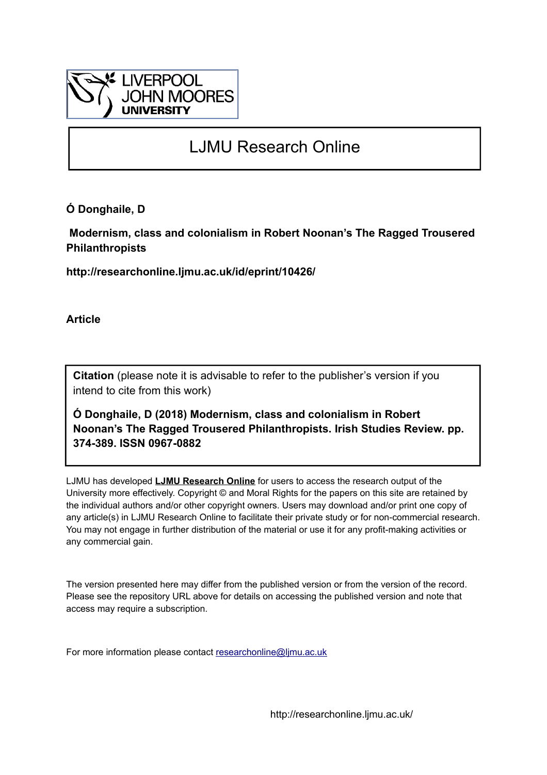

# LJMU Research Online

**Ó Donghaile, D**

 **Modernism, class and colonialism in Robert Noonan's The Ragged Trousered Philanthropists**

**http://researchonline.ljmu.ac.uk/id/eprint/10426/**

**Article**

**Citation** (please note it is advisable to refer to the publisher's version if you intend to cite from this work)

**Ó Donghaile, D (2018) Modernism, class and colonialism in Robert Noonan's The Ragged Trousered Philanthropists. Irish Studies Review. pp. 374-389. ISSN 0967-0882** 

LJMU has developed **[LJMU Research Online](http://researchonline.ljmu.ac.uk/)** for users to access the research output of the University more effectively. Copyright © and Moral Rights for the papers on this site are retained by the individual authors and/or other copyright owners. Users may download and/or print one copy of any article(s) in LJMU Research Online to facilitate their private study or for non-commercial research. You may not engage in further distribution of the material or use it for any profit-making activities or any commercial gain.

The version presented here may differ from the published version or from the version of the record. Please see the repository URL above for details on accessing the published version and note that access may require a subscription.

For more information please contact [researchonline@ljmu.ac.uk](mailto:researchonline@ljmu.ac.uk)

http://researchonline.ljmu.ac.uk/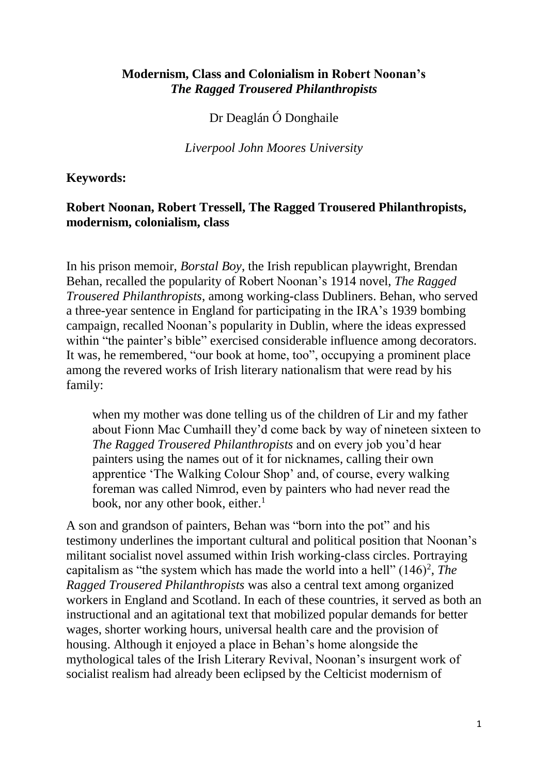## **Modernism, Class and Colonialism in Robert Noonan's**  *The Ragged Trousered Philanthropists*

Dr Deaglán Ó Donghaile

*Liverpool John Moores University*

## **Keywords:**

## **Robert Noonan, Robert Tressell, The Ragged Trousered Philanthropists, modernism, colonialism, class**

In his prison memoir, *Borstal Boy*, the Irish republican playwright, Brendan Behan, recalled the popularity of Robert Noonan's 1914 novel, *The Ragged Trousered Philanthropists*, among working-class Dubliners. Behan, who served a three-year sentence in England for participating in the IRA's 1939 bombing campaign, recalled Noonan's popularity in Dublin, where the ideas expressed within "the painter's bible" exercised considerable influence among decorators. It was, he remembered, "our book at home, too", occupying a prominent place among the revered works of Irish literary nationalism that were read by his family:

when my mother was done telling us of the children of Lir and my father about Fionn Mac Cumhaill they'd come back by way of nineteen sixteen to *The Ragged Trousered Philanthropists* and on every job you'd hear painters using the names out of it for nicknames, calling their own apprentice 'The Walking Colour Shop' and, of course, every walking foreman was called Nimrod, even by painters who had never read the book, nor any other book, either.<sup>1</sup>

A son and grandson of painters, Behan was "born into the pot" and his testimony underlines the important cultural and political position that Noonan's militant socialist novel assumed within Irish working-class circles. Portraying capitalism as "the system which has made the world into a hell"  $(146)^2$ , *The Ragged Trousered Philanthropists* was also a central text among organized workers in England and Scotland. In each of these countries, it served as both an instructional and an agitational text that mobilized popular demands for better wages, shorter working hours, universal health care and the provision of housing. Although it enjoyed a place in Behan's home alongside the mythological tales of the Irish Literary Revival, Noonan's insurgent work of socialist realism had already been eclipsed by the Celticist modernism of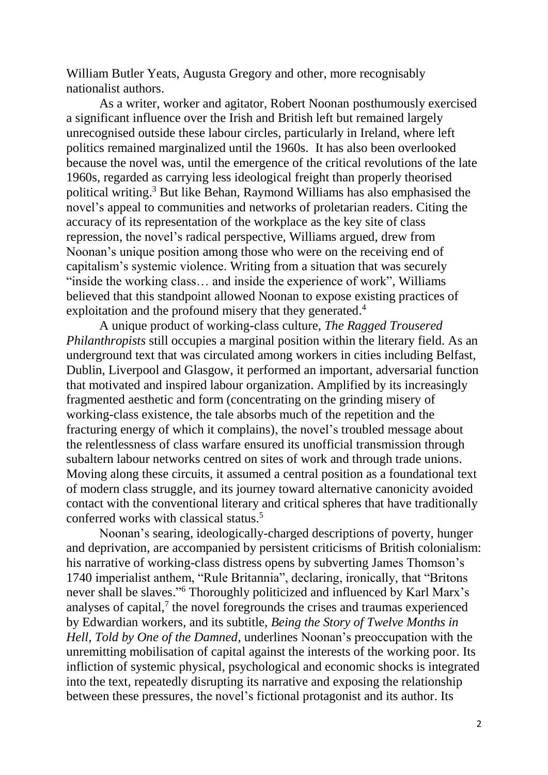William Butler Yeats, Augusta Gregory and other, more recognisably nationalist authors.

As a writer, worker and agitator, Robert Noonan posthumously exercised a significant influence over the Irish and British left but remained largely unrecognised outside these labour circles, particularly in Ireland, where left politics remained marginalized until the 1960s. It has also been overlooked because the novel was, until the emergence of the critical revolutions of the late 1960s, regarded as carrying less ideological freight than properly theorised political writing. <sup>3</sup> But like Behan, Raymond Williams has also emphasised the novel's appeal to communities and networks of proletarian readers. Citing the accuracy of its representation of the workplace as the key site of class repression, the novel's radical perspective, Williams argued, drew from Noonan's unique position among those who were on the receiving end of capitalism's systemic violence. Writing from a situation that was securely "inside the working class… and inside the experience of work", Williams believed that this standpoint allowed Noonan to expose existing practices of exploitation and the profound misery that they generated.<sup>4</sup>

A unique product of working-class culture, *The Ragged Trousered Philanthropists* still occupies a marginal position within the literary field. As an underground text that was circulated among workers in cities including Belfast, Dublin, Liverpool and Glasgow, it performed an important, adversarial function that motivated and inspired labour organization. Amplified by its increasingly fragmented aesthetic and form (concentrating on the grinding misery of working-class existence, the tale absorbs much of the repetition and the fracturing energy of which it complains), the novel's troubled message about the relentlessness of class warfare ensured its unofficial transmission through subaltern labour networks centred on sites of work and through trade unions. Moving along these circuits, it assumed a central position as a foundational text of modern class struggle, and its journey toward alternative canonicity avoided contact with the conventional literary and critical spheres that have traditionally conferred works with classical status.<sup>5</sup>

Noonan's searing, ideologically-charged descriptions of poverty, hunger and deprivation, are accompanied by persistent criticisms of British colonialism: his narrative of working-class distress opens by subverting James Thomson's 1740 imperialist anthem, "Rule Britannia", declaring, ironically, that "Britons never shall be slaves." <sup>6</sup> Thoroughly politicized and influenced by Karl Marx's analyses of capital, $7$  the novel foregrounds the crises and traumas experienced by Edwardian workers, and its subtitle, *Being the Story of Twelve Months in Hell, Told by One of the Damned*, underlines Noonan's preoccupation with the unremitting mobilisation of capital against the interests of the working poor. Its infliction of systemic physical, psychological and economic shocks is integrated into the text, repeatedly disrupting its narrative and exposing the relationship between these pressures, the novel's fictional protagonist and its author. Its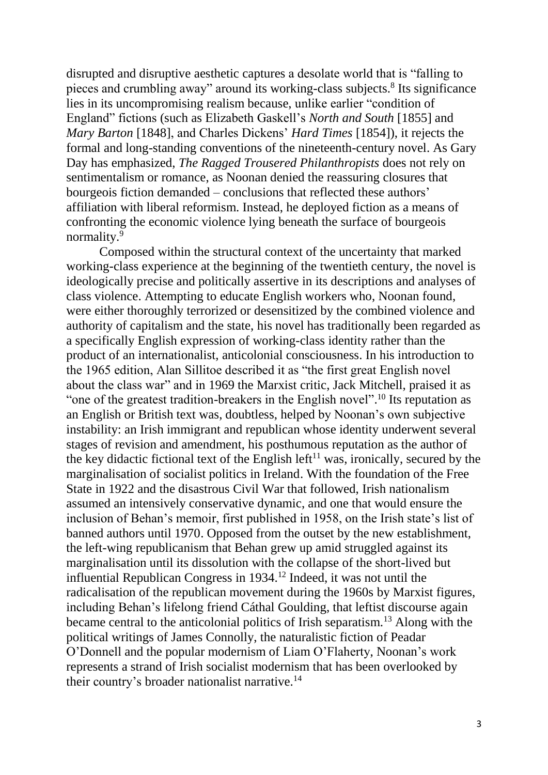disrupted and disruptive aesthetic captures a desolate world that is "falling to pieces and crumbling away" around its working-class subjects. 8 Its significance lies in its uncompromising realism because, unlike earlier "condition of England" fictions (such as Elizabeth Gaskell's *North and South* [1855] and *Mary Barton* [1848], and Charles Dickens' *Hard Times* [1854]), it rejects the formal and long-standing conventions of the nineteenth-century novel. As Gary Day has emphasized, *The Ragged Trousered Philanthropists* does not rely on sentimentalism or romance, as Noonan denied the reassuring closures that bourgeois fiction demanded – conclusions that reflected these authors' affiliation with liberal reformism. Instead, he deployed fiction as a means of confronting the economic violence lying beneath the surface of bourgeois normality.<sup>9</sup>

Composed within the structural context of the uncertainty that marked working-class experience at the beginning of the twentieth century, the novel is ideologically precise and politically assertive in its descriptions and analyses of class violence. Attempting to educate English workers who, Noonan found, were either thoroughly terrorized or desensitized by the combined violence and authority of capitalism and the state, his novel has traditionally been regarded as a specifically English expression of working-class identity rather than the product of an internationalist, anticolonial consciousness. In his introduction to the 1965 edition, Alan Sillitoe described it as "the first great English novel about the class war" and in 1969 the Marxist critic, Jack Mitchell, praised it as "one of the greatest tradition-breakers in the English novel".<sup>10</sup> Its reputation as an English or British text was, doubtless, helped by Noonan's own subjective instability: an Irish immigrant and republican whose identity underwent several stages of revision and amendment, his posthumous reputation as the author of the key didactic fictional text of the English left<sup>11</sup> was, ironically, secured by the marginalisation of socialist politics in Ireland. With the foundation of the Free State in 1922 and the disastrous Civil War that followed, Irish nationalism assumed an intensively conservative dynamic, and one that would ensure the inclusion of Behan's memoir, first published in 1958, on the Irish state's list of banned authors until 1970. Opposed from the outset by the new establishment, the left-wing republicanism that Behan grew up amid struggled against its marginalisation until its dissolution with the collapse of the short-lived but influential Republican Congress in 1934.<sup>12</sup> Indeed, it was not until the radicalisation of the republican movement during the 1960s by Marxist figures, including Behan's lifelong friend Cáthal Goulding, that leftist discourse again became central to the anticolonial politics of Irish separatism.<sup>13</sup> Along with the political writings of James Connolly, the naturalistic fiction of Peadar O'Donnell and the popular modernism of Liam O'Flaherty, Noonan's work represents a strand of Irish socialist modernism that has been overlooked by their country's broader nationalist narrative.<sup>14</sup>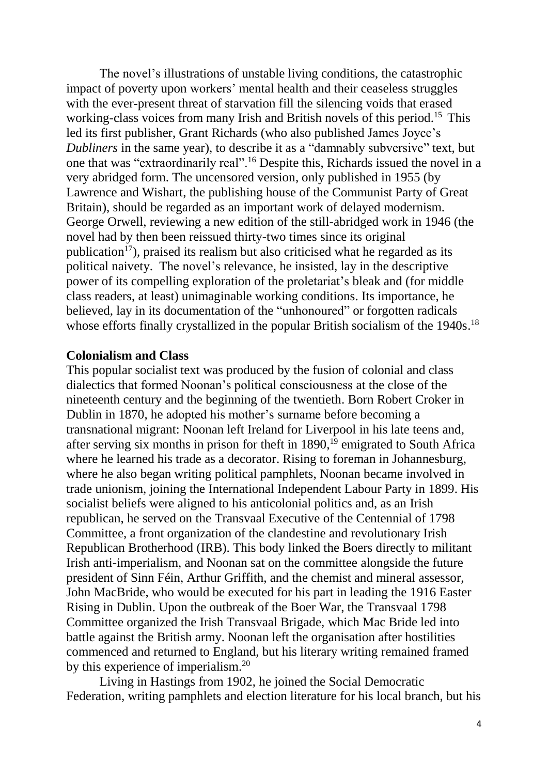The novel's illustrations of unstable living conditions, the catastrophic impact of poverty upon workers' mental health and their ceaseless struggles with the ever-present threat of starvation fill the silencing voids that erased working-class voices from many Irish and British novels of this period.<sup>15</sup> This led its first publisher, Grant Richards (who also published James Joyce's *Dubliners* in the same year), to describe it as a "damnably subversive" text, but one that was "extraordinarily real".<sup>16</sup> Despite this, Richards issued the novel in a very abridged form. The uncensored version, only published in 1955 (by Lawrence and Wishart, the publishing house of the Communist Party of Great Britain), should be regarded as an important work of delayed modernism. George Orwell, reviewing a new edition of the still-abridged work in 1946 (the novel had by then been reissued thirty-two times since its original publication<sup>17</sup>), praised its realism but also criticised what he regarded as its political naivety. The novel's relevance, he insisted, lay in the descriptive power of its compelling exploration of the proletariat's bleak and (for middle class readers, at least) unimaginable working conditions. Its importance, he believed, lay in its documentation of the "unhonoured" or forgotten radicals whose efforts finally crystallized in the popular British socialism of the 1940s.<sup>18</sup>

#### **Colonialism and Class**

This popular socialist text was produced by the fusion of colonial and class dialectics that formed Noonan's political consciousness at the close of the nineteenth century and the beginning of the twentieth. Born Robert Croker in Dublin in 1870, he adopted his mother's surname before becoming a transnational migrant: Noonan left Ireland for Liverpool in his late teens and, after serving six months in prison for theft in  $1890$ ,<sup>19</sup> emigrated to South Africa where he learned his trade as a decorator. Rising to foreman in Johannesburg, where he also began writing political pamphlets, Noonan became involved in trade unionism, joining the International Independent Labour Party in 1899. His socialist beliefs were aligned to his anticolonial politics and, as an Irish republican, he served on the Transvaal Executive of the Centennial of 1798 Committee, a front organization of the clandestine and revolutionary Irish Republican Brotherhood (IRB). This body linked the Boers directly to militant Irish anti-imperialism, and Noonan sat on the committee alongside the future president of Sinn Féin, Arthur Griffith, and the chemist and mineral assessor, John MacBride, who would be executed for his part in leading the 1916 Easter Rising in Dublin. Upon the outbreak of the Boer War, the Transvaal 1798 Committee organized the Irish Transvaal Brigade, which Mac Bride led into battle against the British army. Noonan left the organisation after hostilities commenced and returned to England, but his literary writing remained framed by this experience of imperialism.<sup>20</sup>

Living in Hastings from 1902, he joined the Social Democratic Federation, writing pamphlets and election literature for his local branch, but his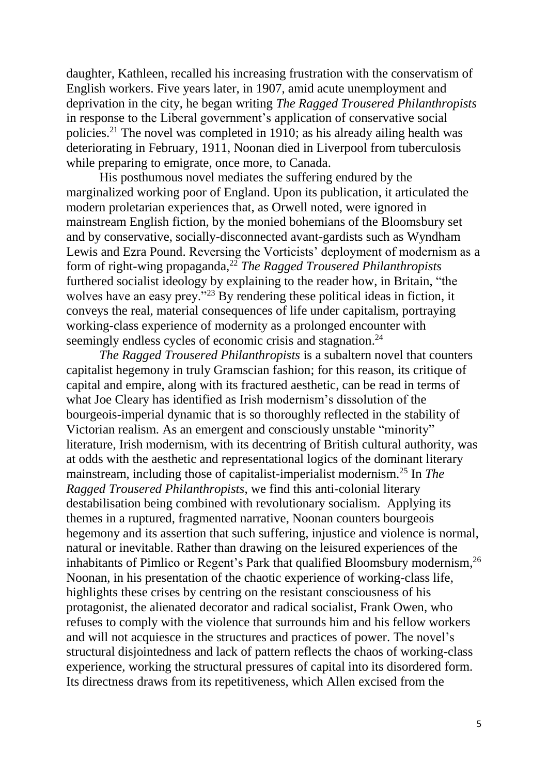daughter, Kathleen, recalled his increasing frustration with the conservatism of English workers. Five years later, in 1907, amid acute unemployment and deprivation in the city, he began writing *The Ragged Trousered Philanthropists* in response to the Liberal government's application of conservative social policies. <sup>21</sup> The novel was completed in 1910; as his already ailing health was deteriorating in February, 1911, Noonan died in Liverpool from tuberculosis while preparing to emigrate, once more, to Canada.

His posthumous novel mediates the suffering endured by the marginalized working poor of England. Upon its publication, it articulated the modern proletarian experiences that, as Orwell noted, were ignored in mainstream English fiction, by the monied bohemians of the Bloomsbury set and by conservative, socially-disconnected avant-gardists such as Wyndham Lewis and Ezra Pound. Reversing the Vorticists' deployment of modernism as a form of right-wing propaganda,<sup>22</sup> *The Ragged Trousered Philanthropists* furthered socialist ideology by explaining to the reader how, in Britain, "the wolves have an easy prey."<sup>23</sup> By rendering these political ideas in fiction, it conveys the real, material consequences of life under capitalism, portraying working-class experience of modernity as a prolonged encounter with seemingly endless cycles of economic crisis and stagnation.<sup>24</sup>

*The Ragged Trousered Philanthropists* is a subaltern novel that counters capitalist hegemony in truly Gramscian fashion; for this reason, its critique of capital and empire, along with its fractured aesthetic, can be read in terms of what Joe Cleary has identified as Irish modernism's dissolution of the bourgeois-imperial dynamic that is so thoroughly reflected in the stability of Victorian realism. As an emergent and consciously unstable "minority" literature, Irish modernism, with its decentring of British cultural authority, was at odds with the aesthetic and representational logics of the dominant literary mainstream, including those of capitalist-imperialist modernism.<sup>25</sup> In *The Ragged Trousered Philanthropists*, we find this anti-colonial literary destabilisation being combined with revolutionary socialism. Applying its themes in a ruptured, fragmented narrative, Noonan counters bourgeois hegemony and its assertion that such suffering, injustice and violence is normal, natural or inevitable. Rather than drawing on the leisured experiences of the inhabitants of Pimlico or Regent's Park that qualified Bloomsbury modernism,<sup>26</sup> Noonan, in his presentation of the chaotic experience of working-class life, highlights these crises by centring on the resistant consciousness of his protagonist, the alienated decorator and radical socialist, Frank Owen, who refuses to comply with the violence that surrounds him and his fellow workers and will not acquiesce in the structures and practices of power. The novel's structural disjointedness and lack of pattern reflects the chaos of working-class experience, working the structural pressures of capital into its disordered form. Its directness draws from its repetitiveness, which Allen excised from the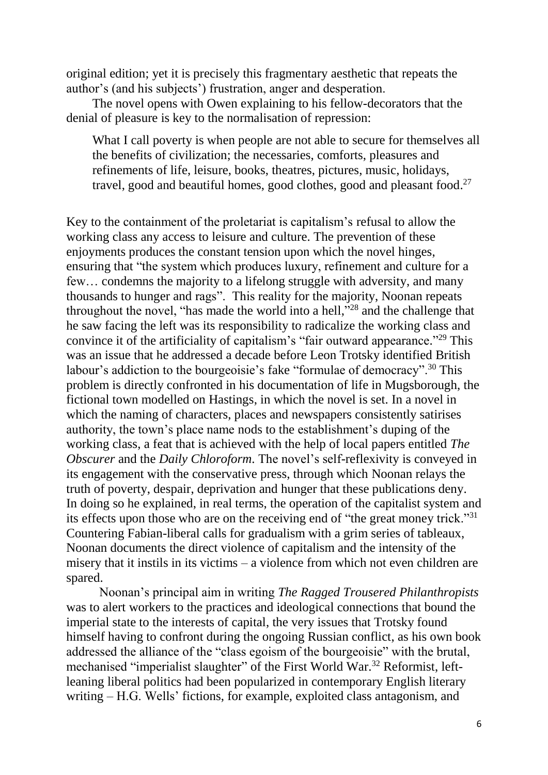original edition; yet it is precisely this fragmentary aesthetic that repeats the author's (and his subjects') frustration, anger and desperation.

The novel opens with Owen explaining to his fellow-decorators that the denial of pleasure is key to the normalisation of repression:

What I call poverty is when people are not able to secure for themselves all the benefits of civilization; the necessaries, comforts, pleasures and refinements of life, leisure, books, theatres, pictures, music, holidays, travel, good and beautiful homes, good clothes, good and pleasant food.<sup>27</sup>

Key to the containment of the proletariat is capitalism's refusal to allow the working class any access to leisure and culture. The prevention of these enjoyments produces the constant tension upon which the novel hinges, ensuring that "the system which produces luxury, refinement and culture for a few… condemns the majority to a lifelong struggle with adversity, and many thousands to hunger and rags". This reality for the majority, Noonan repeats throughout the novel, "has made the world into a hell,"<sup>28</sup> and the challenge that he saw facing the left was its responsibility to radicalize the working class and convince it of the artificiality of capitalism's "fair outward appearance."<sup>29</sup> This was an issue that he addressed a decade before Leon Trotsky identified British labour's addiction to the bourgeoisie's fake "formulae of democracy".<sup>30</sup> This problem is directly confronted in his documentation of life in Mugsborough, the fictional town modelled on Hastings, in which the novel is set. In a novel in which the naming of characters, places and newspapers consistently satirises authority, the town's place name nods to the establishment's duping of the working class, a feat that is achieved with the help of local papers entitled *The Obscurer* and the *Daily Chloroform*. The novel's self-reflexivity is conveyed in its engagement with the conservative press, through which Noonan relays the truth of poverty, despair, deprivation and hunger that these publications deny. In doing so he explained, in real terms, the operation of the capitalist system and its effects upon those who are on the receiving end of "the great money trick."<sup>31</sup> Countering Fabian-liberal calls for gradualism with a grim series of tableaux, Noonan documents the direct violence of capitalism and the intensity of the misery that it instils in its victims – a violence from which not even children are spared.

Noonan's principal aim in writing *The Ragged Trousered Philanthropists*  was to alert workers to the practices and ideological connections that bound the imperial state to the interests of capital, the very issues that Trotsky found himself having to confront during the ongoing Russian conflict, as his own book addressed the alliance of the "class egoism of the bourgeoisie" with the brutal, mechanised "imperialist slaughter" of the First World War.<sup>32</sup> Reformist, leftleaning liberal politics had been popularized in contemporary English literary writing – H.G. Wells' fictions, for example, exploited class antagonism, and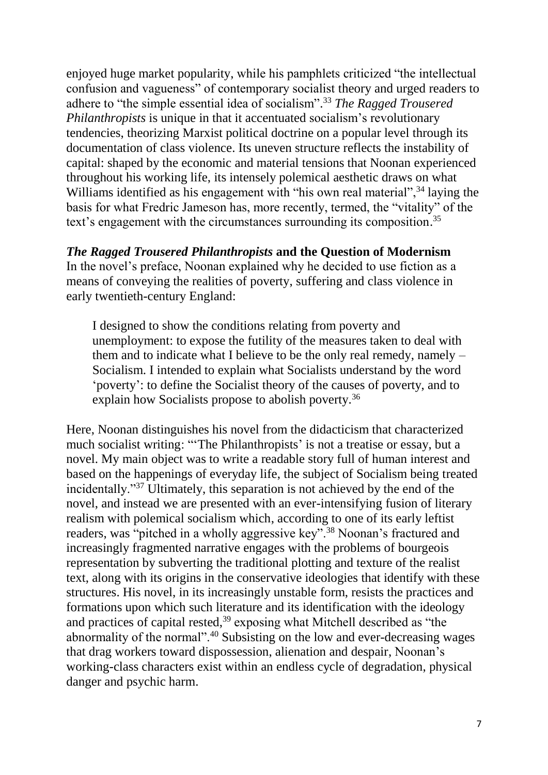enjoyed huge market popularity, while his pamphlets criticized "the intellectual confusion and vagueness" of contemporary socialist theory and urged readers to adhere to "the simple essential idea of socialism". <sup>33</sup> *The Ragged Trousered Philanthropists* is unique in that it accentuated socialism's revolutionary tendencies, theorizing Marxist political doctrine on a popular level through its documentation of class violence. Its uneven structure reflects the instability of capital: shaped by the economic and material tensions that Noonan experienced throughout his working life, its intensely polemical aesthetic draws on what Williams identified as his engagement with "his own real material",<sup>34</sup> laying the basis for what Fredric Jameson has, more recently, termed, the "vitality" of the text's engagement with the circumstances surrounding its composition.<sup>35</sup>

## *The Ragged Trousered Philanthropists* **and the Question of Modernism**

In the novel's preface, Noonan explained why he decided to use fiction as a means of conveying the realities of poverty, suffering and class violence in early twentieth-century England:

I designed to show the conditions relating from poverty and unemployment: to expose the futility of the measures taken to deal with them and to indicate what I believe to be the only real remedy, namely – Socialism. I intended to explain what Socialists understand by the word 'poverty': to define the Socialist theory of the causes of poverty, and to explain how Socialists propose to abolish poverty.<sup>36</sup>

Here, Noonan distinguishes his novel from the didacticism that characterized much socialist writing: "'The Philanthropists' is not a treatise or essay, but a novel. My main object was to write a readable story full of human interest and based on the happenings of everyday life, the subject of Socialism being treated incidentally."<sup>37</sup> Ultimately, this separation is not achieved by the end of the novel, and instead we are presented with an ever-intensifying fusion of literary realism with polemical socialism which, according to one of its early leftist readers, was "pitched in a wholly aggressive key".<sup>38</sup> Noonan's fractured and increasingly fragmented narrative engages with the problems of bourgeois representation by subverting the traditional plotting and texture of the realist text, along with its origins in the conservative ideologies that identify with these structures. His novel, in its increasingly unstable form, resists the practices and formations upon which such literature and its identification with the ideology and practices of capital rested, 39 exposing what Mitchell described as "the abnormality of the normal".<sup>40</sup> Subsisting on the low and ever-decreasing wages that drag workers toward dispossession, alienation and despair, Noonan's working-class characters exist within an endless cycle of degradation, physical danger and psychic harm.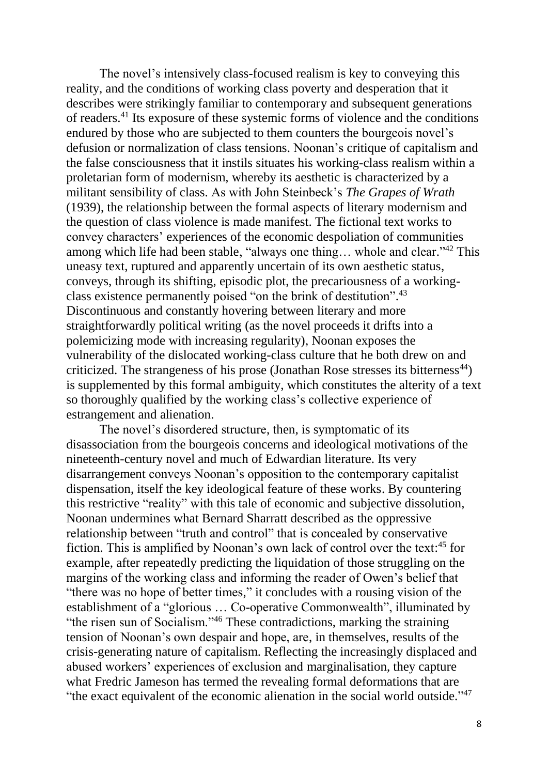The novel's intensively class-focused realism is key to conveying this reality, and the conditions of working class poverty and desperation that it describes were strikingly familiar to contemporary and subsequent generations of readers.<sup>41</sup> Its exposure of these systemic forms of violence and the conditions endured by those who are subjected to them counters the bourgeois novel's defusion or normalization of class tensions. Noonan's critique of capitalism and the false consciousness that it instils situates his working-class realism within a proletarian form of modernism, whereby its aesthetic is characterized by a militant sensibility of class. As with John Steinbeck's *The Grapes of Wrath* (1939), the relationship between the formal aspects of literary modernism and the question of class violence is made manifest. The fictional text works to convey characters' experiences of the economic despoliation of communities among which life had been stable, "always one thing... whole and clear."<sup>42</sup> This uneasy text, ruptured and apparently uncertain of its own aesthetic status, conveys, through its shifting, episodic plot, the precariousness of a workingclass existence permanently poised "on the brink of destitution".<sup>43</sup> Discontinuous and constantly hovering between literary and more straightforwardly political writing (as the novel proceeds it drifts into a polemicizing mode with increasing regularity), Noonan exposes the vulnerability of the dislocated working-class culture that he both drew on and criticized. The strangeness of his prose (Jonathan Rose stresses its bitterness<sup>44</sup>) is supplemented by this formal ambiguity, which constitutes the alterity of a text so thoroughly qualified by the working class's collective experience of estrangement and alienation.

The novel's disordered structure, then, is symptomatic of its disassociation from the bourgeois concerns and ideological motivations of the nineteenth-century novel and much of Edwardian literature. Its very disarrangement conveys Noonan's opposition to the contemporary capitalist dispensation, itself the key ideological feature of these works. By countering this restrictive "reality" with this tale of economic and subjective dissolution, Noonan undermines what Bernard Sharratt described as the oppressive relationship between "truth and control" that is concealed by conservative fiction. This is amplified by Noonan's own lack of control over the text:<sup>45</sup> for example, after repeatedly predicting the liquidation of those struggling on the margins of the working class and informing the reader of Owen's belief that "there was no hope of better times," it concludes with a rousing vision of the establishment of a "glorious … Co-operative Commonwealth", illuminated by "the risen sun of Socialism."<sup>46</sup> These contradictions, marking the straining tension of Noonan's own despair and hope, are, in themselves, results of the crisis-generating nature of capitalism. Reflecting the increasingly displaced and abused workers' experiences of exclusion and marginalisation, they capture what Fredric Jameson has termed the revealing formal deformations that are "the exact equivalent of the economic alienation in the social world outside."<sup>47</sup>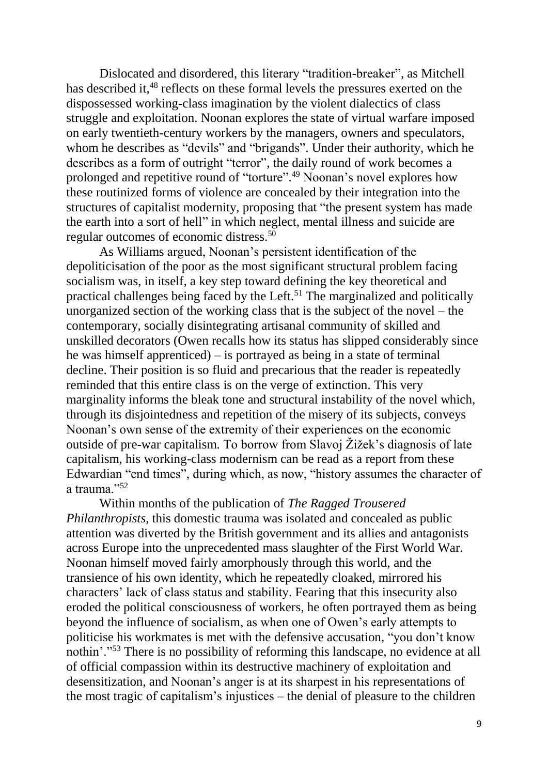Dislocated and disordered, this literary "tradition-breaker", as Mitchell has described it,<sup>48</sup> reflects on these formal levels the pressures exerted on the dispossessed working-class imagination by the violent dialectics of class struggle and exploitation. Noonan explores the state of virtual warfare imposed on early twentieth-century workers by the managers, owners and speculators, whom he describes as "devils" and "brigands". Under their authority, which he describes as a form of outright "terror", the daily round of work becomes a prolonged and repetitive round of "torture". <sup>49</sup> Noonan's novel explores how these routinized forms of violence are concealed by their integration into the structures of capitalist modernity, proposing that "the present system has made the earth into a sort of hell" in which neglect, mental illness and suicide are regular outcomes of economic distress.<sup>50</sup>

As Williams argued, Noonan's persistent identification of the depoliticisation of the poor as the most significant structural problem facing socialism was, in itself, a key step toward defining the key theoretical and practical challenges being faced by the Left.<sup>51</sup> The marginalized and politically unorganized section of the working class that is the subject of the novel – the contemporary, socially disintegrating artisanal community of skilled and unskilled decorators (Owen recalls how its status has slipped considerably since he was himself apprenticed) – is portrayed as being in a state of terminal decline. Their position is so fluid and precarious that the reader is repeatedly reminded that this entire class is on the verge of extinction. This very marginality informs the bleak tone and structural instability of the novel which, through its disjointedness and repetition of the misery of its subjects, conveys Noonan's own sense of the extremity of their experiences on the economic outside of pre-war capitalism. To borrow from Slavoj Žižek's diagnosis of late capitalism, his working-class modernism can be read as a report from these Edwardian "end times", during which, as now, "history assumes the character of a trauma."<sup>52</sup>

Within months of the publication of *The Ragged Trousered Philanthropists*, this domestic trauma was isolated and concealed as public attention was diverted by the British government and its allies and antagonists across Europe into the unprecedented mass slaughter of the First World War. Noonan himself moved fairly amorphously through this world, and the transience of his own identity, which he repeatedly cloaked, mirrored his characters' lack of class status and stability. Fearing that this insecurity also eroded the political consciousness of workers, he often portrayed them as being beyond the influence of socialism, as when one of Owen's early attempts to politicise his workmates is met with the defensive accusation, "you don't know nothin'."<sup>53</sup> There is no possibility of reforming this landscape, no evidence at all of official compassion within its destructive machinery of exploitation and desensitization, and Noonan's anger is at its sharpest in his representations of the most tragic of capitalism's injustices – the denial of pleasure to the children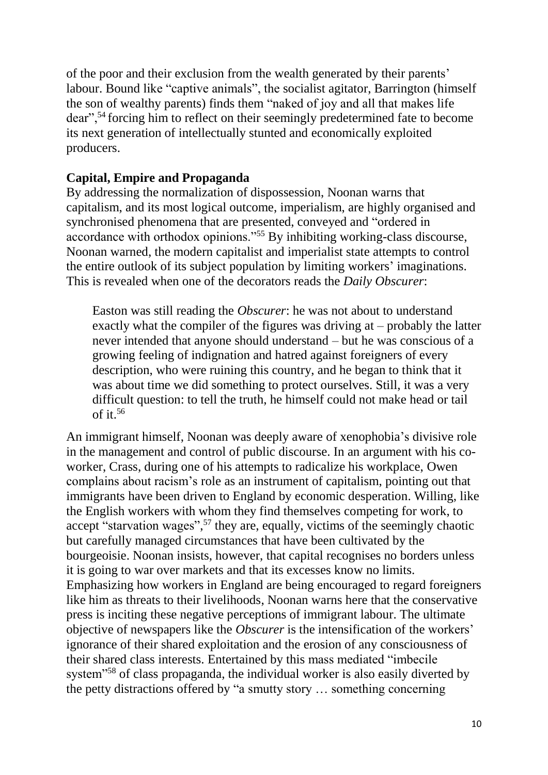of the poor and their exclusion from the wealth generated by their parents' labour. Bound like "captive animals", the socialist agitator, Barrington (himself the son of wealthy parents) finds them "naked of joy and all that makes life dear",<sup>54</sup> forcing him to reflect on their seemingly predetermined fate to become its next generation of intellectually stunted and economically exploited producers.

# **Capital, Empire and Propaganda**

By addressing the normalization of dispossession, Noonan warns that capitalism, and its most logical outcome, imperialism, are highly organised and synchronised phenomena that are presented, conveyed and "ordered in accordance with orthodox opinions."<sup>55</sup> By inhibiting working-class discourse, Noonan warned, the modern capitalist and imperialist state attempts to control the entire outlook of its subject population by limiting workers' imaginations. This is revealed when one of the decorators reads the *Daily Obscurer*:

Easton was still reading the *Obscurer*: he was not about to understand exactly what the compiler of the figures was driving at – probably the latter never intended that anyone should understand – but he was conscious of a growing feeling of indignation and hatred against foreigners of every description, who were ruining this country, and he began to think that it was about time we did something to protect ourselves. Still, it was a very difficult question: to tell the truth, he himself could not make head or tail of it.<sup>56</sup>

An immigrant himself, Noonan was deeply aware of xenophobia's divisive role in the management and control of public discourse. In an argument with his coworker, Crass, during one of his attempts to radicalize his workplace, Owen complains about racism's role as an instrument of capitalism, pointing out that immigrants have been driven to England by economic desperation. Willing, like the English workers with whom they find themselves competing for work, to accept "starvation wages", <sup>57</sup> they are, equally, victims of the seemingly chaotic but carefully managed circumstances that have been cultivated by the bourgeoisie. Noonan insists, however, that capital recognises no borders unless it is going to war over markets and that its excesses know no limits. Emphasizing how workers in England are being encouraged to regard foreigners like him as threats to their livelihoods, Noonan warns here that the conservative press is inciting these negative perceptions of immigrant labour. The ultimate objective of newspapers like the *Obscurer* is the intensification of the workers' ignorance of their shared exploitation and the erosion of any consciousness of their shared class interests. Entertained by this mass mediated "imbecile system"<sup>58</sup> of class propaganda, the individual worker is also easily diverted by the petty distractions offered by "a smutty story … something concerning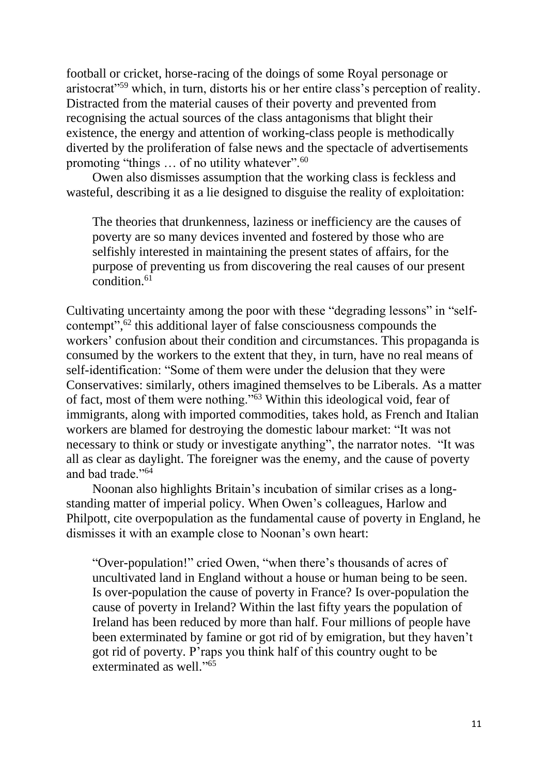football or cricket, horse-racing of the doings of some Royal personage or aristocrat"<sup>59</sup> which, in turn, distorts his or her entire class's perception of reality. Distracted from the material causes of their poverty and prevented from recognising the actual sources of the class antagonisms that blight their existence, the energy and attention of working-class people is methodically diverted by the proliferation of false news and the spectacle of advertisements promoting "things ... of no utility whatever".<sup>60</sup>

Owen also dismisses assumption that the working class is feckless and wasteful, describing it as a lie designed to disguise the reality of exploitation:

The theories that drunkenness, laziness or inefficiency are the causes of poverty are so many devices invented and fostered by those who are selfishly interested in maintaining the present states of affairs, for the purpose of preventing us from discovering the real causes of our present condition.<sup>61</sup>

Cultivating uncertainty among the poor with these "degrading lessons" in "selfcontempt", <sup>62</sup> this additional layer of false consciousness compounds the workers' confusion about their condition and circumstances. This propaganda is consumed by the workers to the extent that they, in turn, have no real means of self-identification: "Some of them were under the delusion that they were Conservatives: similarly, others imagined themselves to be Liberals. As a matter of fact, most of them were nothing."<sup>63</sup> Within this ideological void, fear of immigrants, along with imported commodities, takes hold, as French and Italian workers are blamed for destroying the domestic labour market: "It was not necessary to think or study or investigate anything", the narrator notes. "It was all as clear as daylight. The foreigner was the enemy, and the cause of poverty and bad trade."<sup>64</sup>

Noonan also highlights Britain's incubation of similar crises as a longstanding matter of imperial policy. When Owen's colleagues, Harlow and Philpott, cite overpopulation as the fundamental cause of poverty in England, he dismisses it with an example close to Noonan's own heart:

"Over-population!" cried Owen, "when there's thousands of acres of uncultivated land in England without a house or human being to be seen. Is over-population the cause of poverty in France? Is over-population the cause of poverty in Ireland? Within the last fifty years the population of Ireland has been reduced by more than half. Four millions of people have been exterminated by famine or got rid of by emigration, but they haven't got rid of poverty. P'raps you think half of this country ought to be exterminated as well."<sup>65</sup>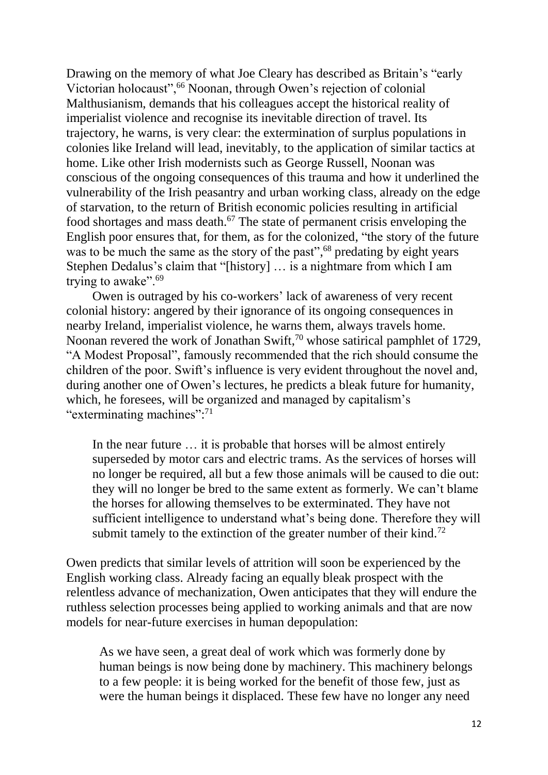Drawing on the memory of what Joe Cleary has described as Britain's "early Victorian holocaust",<sup>66</sup> Noonan, through Owen's rejection of colonial Malthusianism, demands that his colleagues accept the historical reality of imperialist violence and recognise its inevitable direction of travel. Its trajectory, he warns, is very clear: the extermination of surplus populations in colonies like Ireland will lead, inevitably, to the application of similar tactics at home. Like other Irish modernists such as George Russell, Noonan was conscious of the ongoing consequences of this trauma and how it underlined the vulnerability of the Irish peasantry and urban working class, already on the edge of starvation, to the return of British economic policies resulting in artificial food shortages and mass death. <sup>67</sup> The state of permanent crisis enveloping the English poor ensures that, for them, as for the colonized, "the story of the future was to be much the same as the story of the past",<sup>68</sup> predating by eight years Stephen Dedalus's claim that "[history] … is a nightmare from which I am trying to awake".<sup>69</sup>

Owen is outraged by his co-workers' lack of awareness of very recent colonial history: angered by their ignorance of its ongoing consequences in nearby Ireland, imperialist violence, he warns them, always travels home. Noonan revered the work of Jonathan Swift,<sup>70</sup> whose satirical pamphlet of 1729, "A Modest Proposal", famously recommended that the rich should consume the children of the poor. Swift's influence is very evident throughout the novel and, during another one of Owen's lectures, he predicts a bleak future for humanity, which, he foresees, will be organized and managed by capitalism's "exterminating machines":<sup>71</sup>

In the near future … it is probable that horses will be almost entirely superseded by motor cars and electric trams. As the services of horses will no longer be required, all but a few those animals will be caused to die out: they will no longer be bred to the same extent as formerly. We can't blame the horses for allowing themselves to be exterminated. They have not sufficient intelligence to understand what's being done. Therefore they will submit tamely to the extinction of the greater number of their kind.<sup>72</sup>

Owen predicts that similar levels of attrition will soon be experienced by the English working class. Already facing an equally bleak prospect with the relentless advance of mechanization, Owen anticipates that they will endure the ruthless selection processes being applied to working animals and that are now models for near-future exercises in human depopulation:

As we have seen, a great deal of work which was formerly done by human beings is now being done by machinery. This machinery belongs to a few people: it is being worked for the benefit of those few, just as were the human beings it displaced. These few have no longer any need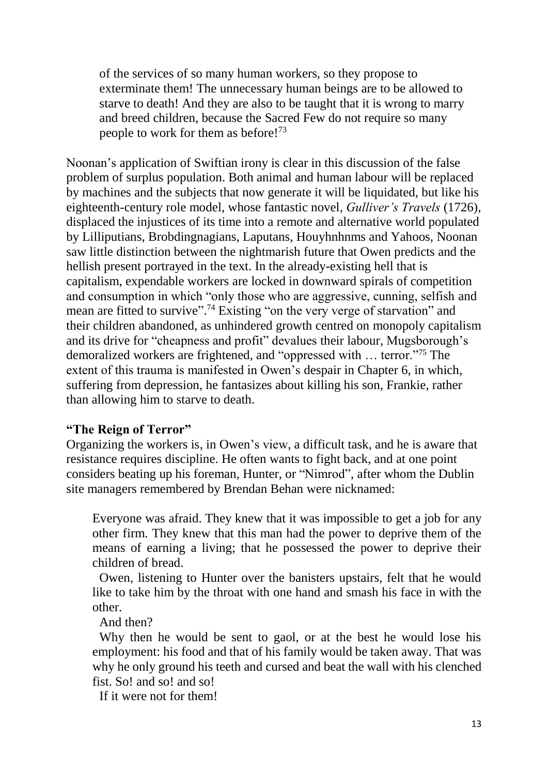of the services of so many human workers, so they propose to exterminate them! The unnecessary human beings are to be allowed to starve to death! And they are also to be taught that it is wrong to marry and breed children, because the Sacred Few do not require so many people to work for them as before!<sup>73</sup>

Noonan's application of Swiftian irony is clear in this discussion of the false problem of surplus population. Both animal and human labour will be replaced by machines and the subjects that now generate it will be liquidated, but like his eighteenth-century role model, whose fantastic novel, *Gulliver's Travels* (1726), displaced the injustices of its time into a remote and alternative world populated by Lilliputians, Brobdingnagians, Laputans, Houyhnhnms and Yahoos, Noonan saw little distinction between the nightmarish future that Owen predicts and the hellish present portrayed in the text. In the already-existing hell that is capitalism, expendable workers are locked in downward spirals of competition and consumption in which "only those who are aggressive, cunning, selfish and mean are fitted to survive".<sup>74</sup> Existing "on the very verge of starvation" and their children abandoned, as unhindered growth centred on monopoly capitalism and its drive for "cheapness and profit" devalues their labour, Mugsborough's demoralized workers are frightened, and "oppressed with … terror."<sup>75</sup> The extent of this trauma is manifested in Owen's despair in Chapter 6, in which, suffering from depression, he fantasizes about killing his son, Frankie, rather than allowing him to starve to death.

### **"The Reign of Terror"**

Organizing the workers is, in Owen's view, a difficult task, and he is aware that resistance requires discipline. He often wants to fight back, and at one point considers beating up his foreman, Hunter, or "Nimrod", after whom the Dublin site managers remembered by Brendan Behan were nicknamed:

Everyone was afraid. They knew that it was impossible to get a job for any other firm. They knew that this man had the power to deprive them of the means of earning a living; that he possessed the power to deprive their children of bread.

Owen, listening to Hunter over the banisters upstairs, felt that he would like to take him by the throat with one hand and smash his face in with the other.

And then?

Why then he would be sent to gaol, or at the best he would lose his employment: his food and that of his family would be taken away. That was why he only ground his teeth and cursed and beat the wall with his clenched fist. So! and so! and so!

If it were not for them!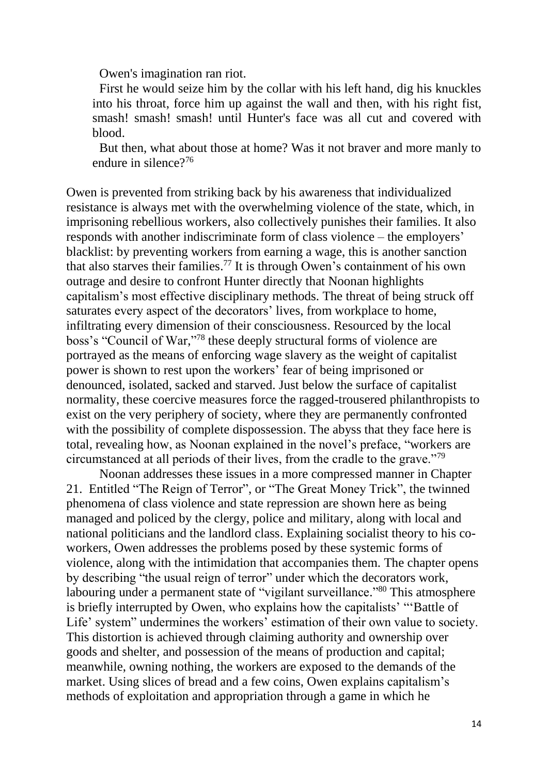Owen's imagination ran riot.

First he would seize him by the collar with his left hand, dig his knuckles into his throat, force him up against the wall and then, with his right fist, smash! smash! smash! until Hunter's face was all cut and covered with blood.

But then, what about those at home? Was it not braver and more manly to endure in silence?<sup>76</sup>

Owen is prevented from striking back by his awareness that individualized resistance is always met with the overwhelming violence of the state, which, in imprisoning rebellious workers, also collectively punishes their families. It also responds with another indiscriminate form of class violence – the employers' blacklist: by preventing workers from earning a wage, this is another sanction that also starves their families. <sup>77</sup> It is through Owen's containment of his own outrage and desire to confront Hunter directly that Noonan highlights capitalism's most effective disciplinary methods. The threat of being struck off saturates every aspect of the decorators' lives, from workplace to home, infiltrating every dimension of their consciousness. Resourced by the local boss's "Council of War," <sup>78</sup> these deeply structural forms of violence are portrayed as the means of enforcing wage slavery as the weight of capitalist power is shown to rest upon the workers' fear of being imprisoned or denounced, isolated, sacked and starved. Just below the surface of capitalist normality, these coercive measures force the ragged-trousered philanthropists to exist on the very periphery of society, where they are permanently confronted with the possibility of complete dispossession. The abyss that they face here is total, revealing how, as Noonan explained in the novel's preface, "workers are circumstanced at all periods of their lives, from the cradle to the grave."<sup>79</sup>

Noonan addresses these issues in a more compressed manner in Chapter 21. Entitled "The Reign of Terror", or "The Great Money Trick", the twinned phenomena of class violence and state repression are shown here as being managed and policed by the clergy, police and military, along with local and national politicians and the landlord class. Explaining socialist theory to his coworkers, Owen addresses the problems posed by these systemic forms of violence, along with the intimidation that accompanies them. The chapter opens by describing "the usual reign of terror" under which the decorators work, labouring under a permanent state of "vigilant surveillance."<sup>80</sup> This atmosphere is briefly interrupted by Owen, who explains how the capitalists' "'Battle of Life' system" undermines the workers' estimation of their own value to society. This distortion is achieved through claiming authority and ownership over goods and shelter, and possession of the means of production and capital; meanwhile, owning nothing, the workers are exposed to the demands of the market. Using slices of bread and a few coins, Owen explains capitalism's methods of exploitation and appropriation through a game in which he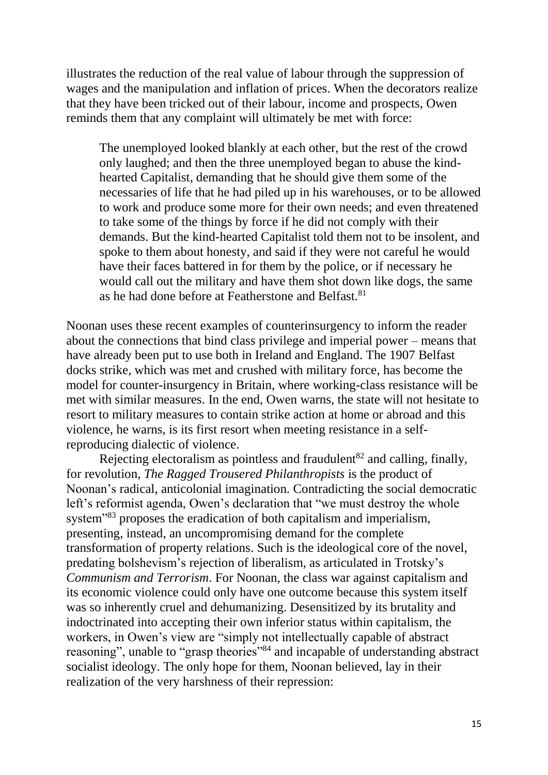illustrates the reduction of the real value of labour through the suppression of wages and the manipulation and inflation of prices. When the decorators realize that they have been tricked out of their labour, income and prospects, Owen reminds them that any complaint will ultimately be met with force:

The unemployed looked blankly at each other, but the rest of the crowd only laughed; and then the three unemployed began to abuse the kindhearted Capitalist, demanding that he should give them some of the necessaries of life that he had piled up in his warehouses, or to be allowed to work and produce some more for their own needs; and even threatened to take some of the things by force if he did not comply with their demands. But the kind-hearted Capitalist told them not to be insolent, and spoke to them about honesty, and said if they were not careful he would have their faces battered in for them by the police, or if necessary he would call out the military and have them shot down like dogs, the same as he had done before at Featherstone and Belfast.<sup>81</sup>

Noonan uses these recent examples of counterinsurgency to inform the reader about the connections that bind class privilege and imperial power – means that have already been put to use both in Ireland and England. The 1907 Belfast docks strike, which was met and crushed with military force, has become the model for counter-insurgency in Britain, where working-class resistance will be met with similar measures. In the end, Owen warns, the state will not hesitate to resort to military measures to contain strike action at home or abroad and this violence, he warns, is its first resort when meeting resistance in a selfreproducing dialectic of violence.

Rejecting electoralism as pointless and fraudulent<sup>82</sup> and calling, finally, for revolution, *The Ragged Trousered Philanthropists* is the product of Noonan's radical, anticolonial imagination. Contradicting the social democratic left's reformist agenda, Owen's declaration that "we must destroy the whole system<sup>383</sup> proposes the eradication of both capitalism and imperialism. presenting, instead, an uncompromising demand for the complete transformation of property relations. Such is the ideological core of the novel, predating bolshevism's rejection of liberalism, as articulated in Trotsky's *Communism and Terrorism*. For Noonan, the class war against capitalism and its economic violence could only have one outcome because this system itself was so inherently cruel and dehumanizing. Desensitized by its brutality and indoctrinated into accepting their own inferior status within capitalism, the workers, in Owen's view are "simply not intellectually capable of abstract reasoning", unable to "grasp theories"<sup>84</sup> and incapable of understanding abstract socialist ideology. The only hope for them, Noonan believed, lay in their realization of the very harshness of their repression: